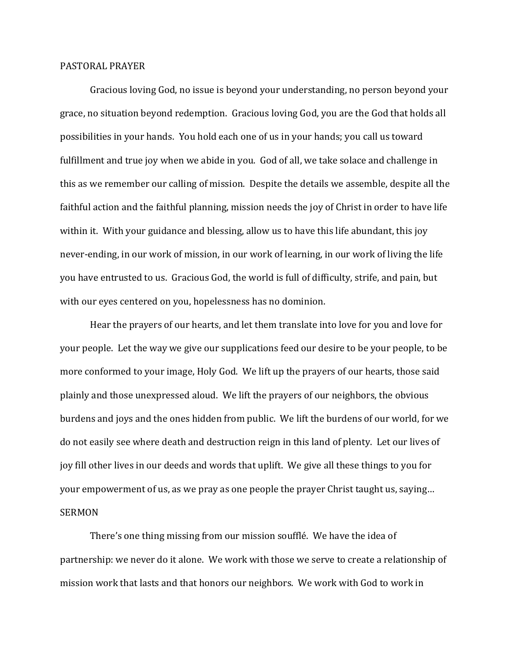## PASTORAL PRAYER

Gracious loving God, no issue is beyond your understanding, no person beyond your grace, no situation beyond redemption. Gracious loving God, you are the God that holds all possibilities in your hands. You hold each one of us in your hands; you call us toward fulfillment and true joy when we abide in you. God of all, we take solace and challenge in this as we remember our calling of mission. Despite the details we assemble, despite all the faithful action and the faithful planning, mission needs the joy of Christ in order to have life within it. With your guidance and blessing, allow us to have this life abundant, this joy never-ending, in our work of mission, in our work of learning, in our work of living the life you have entrusted to us. Gracious God, the world is full of difficulty, strife, and pain, but with our eyes centered on you, hopelessness has no dominion.

Hear the prayers of our hearts, and let them translate into love for you and love for your people. Let the way we give our supplications feed our desire to be your people, to be more conformed to your image, Holy God. We lift up the prayers of our hearts, those said plainly and those unexpressed aloud. We lift the prayers of our neighbors, the obvious burdens and joys and the ones hidden from public. We lift the burdens of our world, for we do not easily see where death and destruction reign in this land of plenty. Let our lives of joy fill other lives in our deeds and words that uplift. We give all these things to you for your empowerment of us, as we pray as one people the prayer Christ taught us, saying… SERMON

There's one thing missing from our mission soufflé. We have the idea of partnership: we never do it alone. We work with those we serve to create a relationship of mission work that lasts and that honors our neighbors. We work with God to work in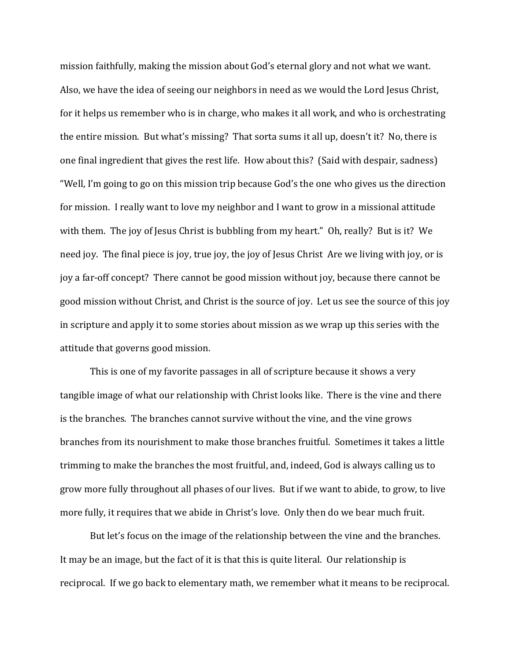mission faithfully, making the mission about God's eternal glory and not what we want. Also, we have the idea of seeing our neighbors in need as we would the Lord Jesus Christ, for it helps us remember who is in charge, who makes it all work, and who is orchestrating the entire mission. But what's missing? That sorta sums it all up, doesn't it? No, there is one final ingredient that gives the rest life. How about this? (Said with despair, sadness) "Well, I'm going to go on this mission trip because God's the one who gives us the direction for mission. I really want to love my neighbor and I want to grow in a missional attitude with them. The joy of Jesus Christ is bubbling from my heart." Oh, really? But is it? We need joy. The final piece is joy, true joy, the joy of Jesus Christ Are we living with joy, or is joy a far-off concept? There cannot be good mission without joy, because there cannot be good mission without Christ, and Christ is the source of joy. Let us see the source of this joy in scripture and apply it to some stories about mission as we wrap up this series with the attitude that governs good mission.

This is one of my favorite passages in all of scripture because it shows a very tangible image of what our relationship with Christ looks like. There is the vine and there is the branches. The branches cannot survive without the vine, and the vine grows branches from its nourishment to make those branches fruitful. Sometimes it takes a little trimming to make the branches the most fruitful, and, indeed, God is always calling us to grow more fully throughout all phases of our lives. But if we want to abide, to grow, to live more fully, it requires that we abide in Christ's love. Only then do we bear much fruit.

But let's focus on the image of the relationship between the vine and the branches. It may be an image, but the fact of it is that this is quite literal. Our relationship is reciprocal. If we go back to elementary math, we remember what it means to be reciprocal.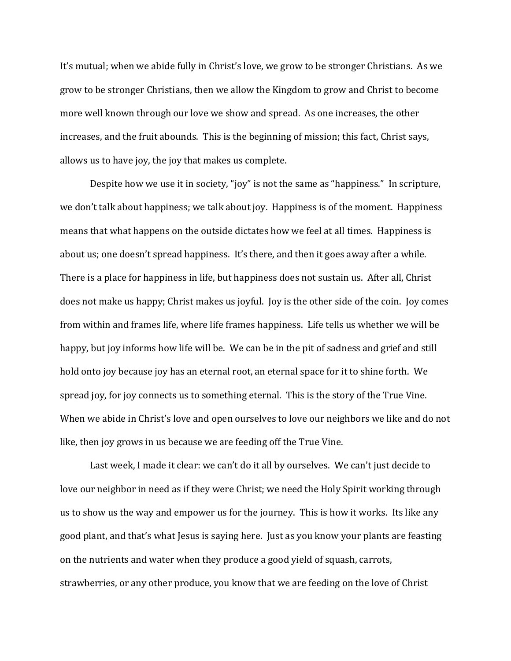It's mutual; when we abide fully in Christ's love, we grow to be stronger Christians. As we grow to be stronger Christians, then we allow the Kingdom to grow and Christ to become more well known through our love we show and spread. As one increases, the other increases, and the fruit abounds. This is the beginning of mission; this fact, Christ says, allows us to have joy, the joy that makes us complete.

Despite how we use it in society, "joy" is not the same as "happiness." In scripture, we don't talk about happiness; we talk about joy. Happiness is of the moment. Happiness means that what happens on the outside dictates how we feel at all times. Happiness is about us; one doesn't spread happiness. It's there, and then it goes away after a while. There is a place for happiness in life, but happiness does not sustain us. After all, Christ does not make us happy; Christ makes us joyful. Joy is the other side of the coin. Joy comes from within and frames life, where life frames happiness. Life tells us whether we will be happy, but joy informs how life will be. We can be in the pit of sadness and grief and still hold onto joy because joy has an eternal root, an eternal space for it to shine forth. We spread joy, for joy connects us to something eternal. This is the story of the True Vine. When we abide in Christ's love and open ourselves to love our neighbors we like and do not like, then joy grows in us because we are feeding off the True Vine.

Last week, I made it clear: we can't do it all by ourselves. We can't just decide to love our neighbor in need as if they were Christ; we need the Holy Spirit working through us to show us the way and empower us for the journey. This is how it works. Its like any good plant, and that's what Jesus is saying here. Just as you know your plants are feasting on the nutrients and water when they produce a good yield of squash, carrots, strawberries, or any other produce, you know that we are feeding on the love of Christ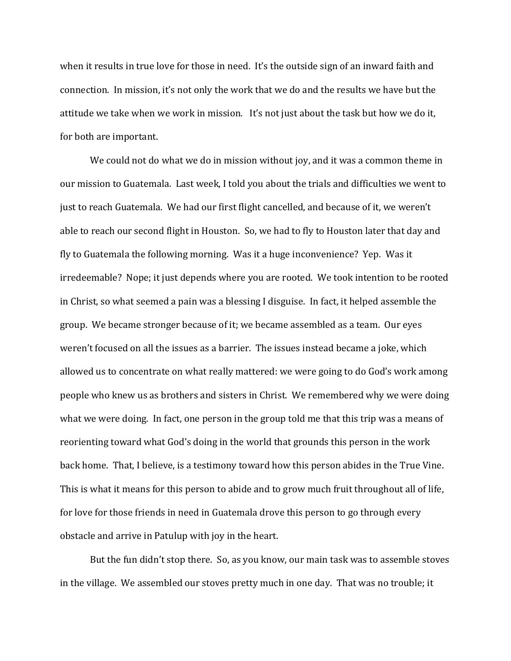when it results in true love for those in need. It's the outside sign of an inward faith and connection. In mission, it's not only the work that we do and the results we have but the attitude we take when we work in mission. It's not just about the task but how we do it, for both are important.

We could not do what we do in mission without joy, and it was a common theme in our mission to Guatemala. Last week, I told you about the trials and difficulties we went to just to reach Guatemala. We had our first flight cancelled, and because of it, we weren't able to reach our second flight in Houston. So, we had to fly to Houston later that day and fly to Guatemala the following morning. Was it a huge inconvenience? Yep. Was it irredeemable? Nope; it just depends where you are rooted. We took intention to be rooted in Christ, so what seemed a pain was a blessing I disguise. In fact, it helped assemble the group. We became stronger because of it; we became assembled as a team. Our eyes weren't focused on all the issues as a barrier. The issues instead became a joke, which allowed us to concentrate on what really mattered: we were going to do God's work among people who knew us as brothers and sisters in Christ. We remembered why we were doing what we were doing. In fact, one person in the group told me that this trip was a means of reorienting toward what God's doing in the world that grounds this person in the work back home. That, I believe, is a testimony toward how this person abides in the True Vine. This is what it means for this person to abide and to grow much fruit throughout all of life, for love for those friends in need in Guatemala drove this person to go through every obstacle and arrive in Patulup with joy in the heart.

But the fun didn't stop there. So, as you know, our main task was to assemble stoves in the village. We assembled our stoves pretty much in one day. That was no trouble; it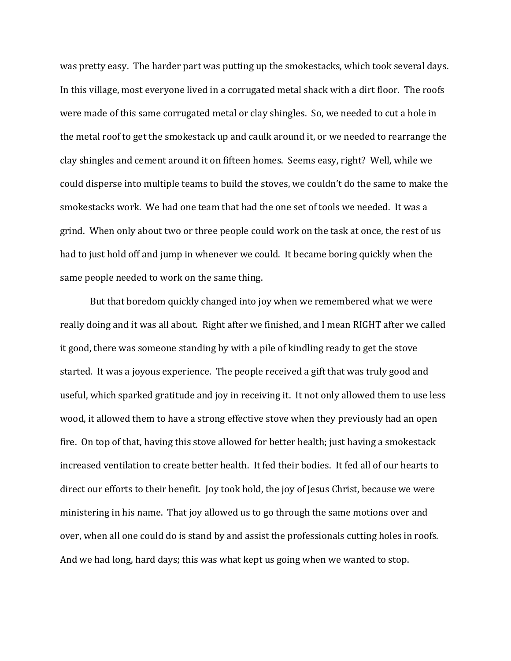was pretty easy. The harder part was putting up the smokestacks, which took several days. In this village, most everyone lived in a corrugated metal shack with a dirt floor. The roofs were made of this same corrugated metal or clay shingles. So, we needed to cut a hole in the metal roof to get the smokestack up and caulk around it, or we needed to rearrange the clay shingles and cement around it on fifteen homes. Seems easy, right? Well, while we could disperse into multiple teams to build the stoves, we couldn't do the same to make the smokestacks work. We had one team that had the one set of tools we needed. It was a grind. When only about two or three people could work on the task at once, the rest of us had to just hold off and jump in whenever we could. It became boring quickly when the same people needed to work on the same thing.

But that boredom quickly changed into joy when we remembered what we were really doing and it was all about. Right after we finished, and I mean RIGHT after we called it good, there was someone standing by with a pile of kindling ready to get the stove started. It was a joyous experience. The people received a gift that was truly good and useful, which sparked gratitude and joy in receiving it. It not only allowed them to use less wood, it allowed them to have a strong effective stove when they previously had an open fire. On top of that, having this stove allowed for better health; just having a smokestack increased ventilation to create better health. It fed their bodies. It fed all of our hearts to direct our efforts to their benefit. Joy took hold, the joy of Jesus Christ, because we were ministering in his name. That joy allowed us to go through the same motions over and over, when all one could do is stand by and assist the professionals cutting holes in roofs. And we had long, hard days; this was what kept us going when we wanted to stop.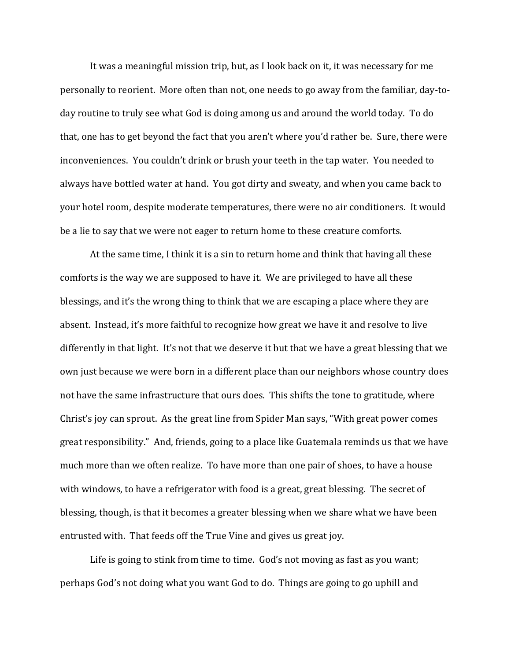It was a meaningful mission trip, but, as I look back on it, it was necessary for me personally to reorient. More often than not, one needs to go away from the familiar, day-today routine to truly see what God is doing among us and around the world today. To do that, one has to get beyond the fact that you aren't where you'd rather be. Sure, there were inconveniences. You couldn't drink or brush your teeth in the tap water. You needed to always have bottled water at hand. You got dirty and sweaty, and when you came back to your hotel room, despite moderate temperatures, there were no air conditioners. It would be a lie to say that we were not eager to return home to these creature comforts.

At the same time, I think it is a sin to return home and think that having all these comforts is the way we are supposed to have it. We are privileged to have all these blessings, and it's the wrong thing to think that we are escaping a place where they are absent. Instead, it's more faithful to recognize how great we have it and resolve to live differently in that light. It's not that we deserve it but that we have a great blessing that we own just because we were born in a different place than our neighbors whose country does not have the same infrastructure that ours does. This shifts the tone to gratitude, where Christ's joy can sprout. As the great line from Spider Man says, "With great power comes great responsibility." And, friends, going to a place like Guatemala reminds us that we have much more than we often realize. To have more than one pair of shoes, to have a house with windows, to have a refrigerator with food is a great, great blessing. The secret of blessing, though, is that it becomes a greater blessing when we share what we have been entrusted with. That feeds off the True Vine and gives us great joy.

Life is going to stink from time to time. God's not moving as fast as you want; perhaps God's not doing what you want God to do. Things are going to go uphill and